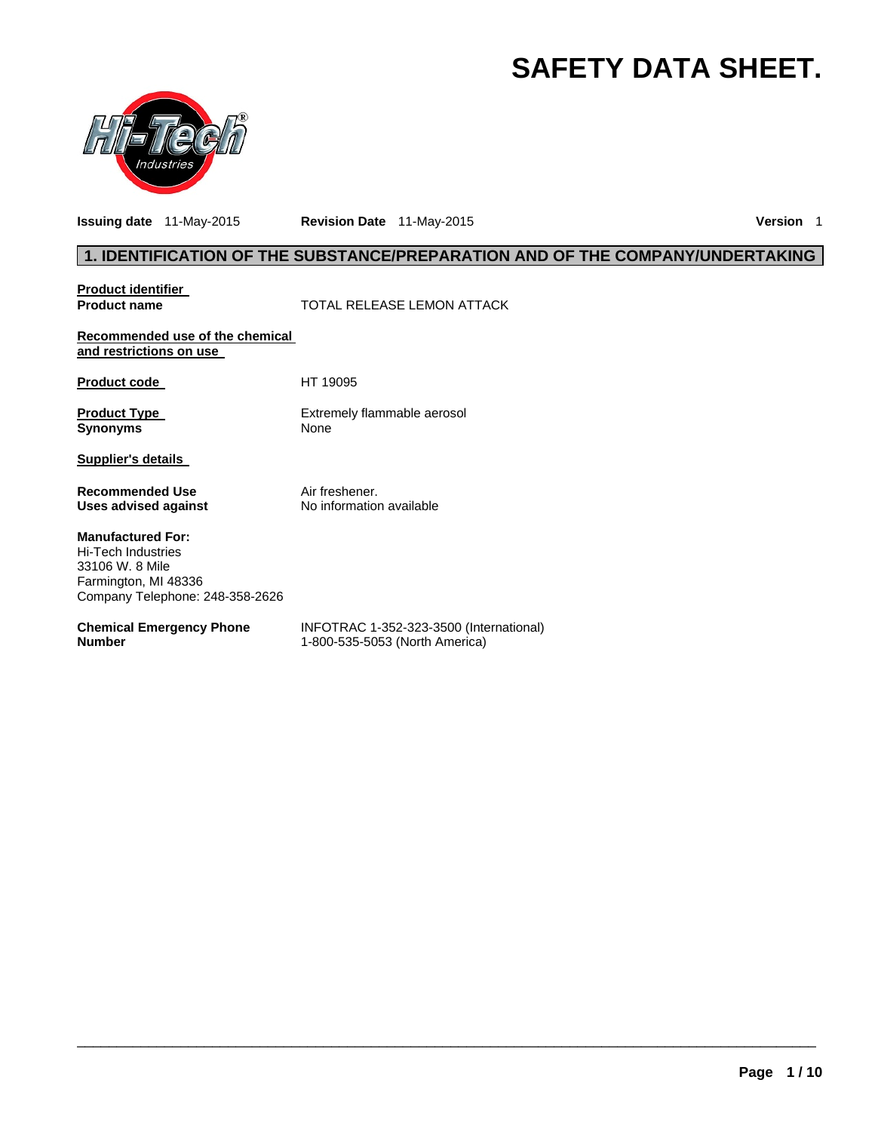# **SAFETY DATA SHEET.**



**Issuing date** 11-May-2015 **Revision Date** 11-May-2015 **Version** 1

# **1. IDENTIFICATION OF THE SUBSTANCE/PREPARATION AND OF THE COMPANY/UNDERTAKING**

**Product identifier** 

**Product name**  $\qquad$  **TOTAL RELEASE LEMON ATTACK** 

**Recommended use of the chemical and restrictions on use** 

Product code HT 19095

**Product Type Extremely flammable aerosol Synonyms** None

**Supplier's details** 

**Recommended Use Air freshener. Uses advised against** No information available

**Manufactured For:**  Hi-Tech Industries 33106 W. 8 Mile Farmington, MI 48336 Company Telephone: 248-358-2626

**Chemical Emergency Phone Number** 

INFOTRAC 1-352-323-3500 (International) 1-800-535-5053 (North America)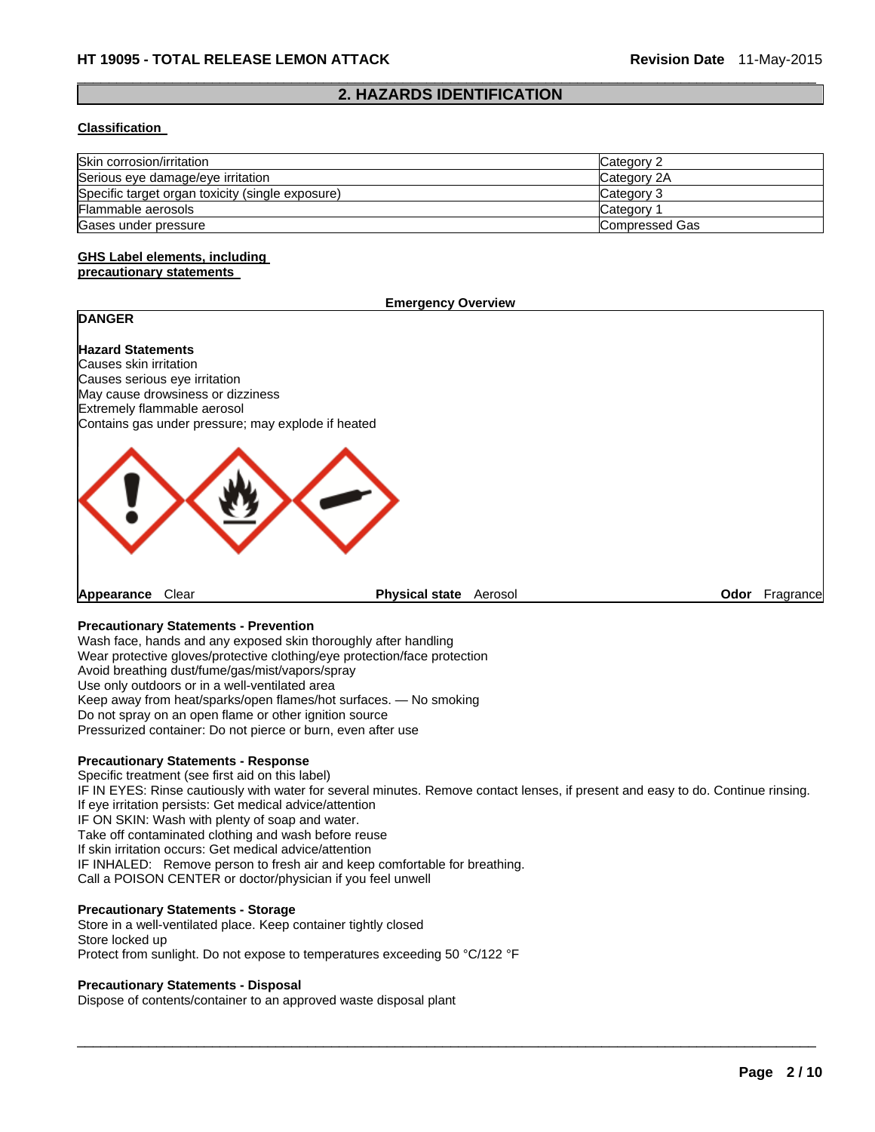#### $\Box$ **2. HAZARDS IDENTIFICATION**

#### **Classification**

| Skin corrosion/irritation                        | Category 2     |
|--------------------------------------------------|----------------|
| Serious eye damage/eye irritation                | Category 2A    |
| Specific target organ toxicity (single exposure) | Category 3     |
| Flammable aerosols                               | Category       |
| Gases under pressure                             | Compressed Gas |

#### **GHS Label elements, including precautionary statements**

#### **Emergency Overview**

# **DANGER**

**Hazard Statements**  Causes skin irritation Causes serious eye irritation May cause drowsiness or dizziness Extremely flammable aerosol Contains gas under pressure; may explode if heated



**Appearance** Clear **Physical state** Aerosol **Odor** Fragrance

#### **Precautionary Statements - Prevention**

Wash face, hands and any exposed skin thoroughly after handling Wear protective gloves/protective clothing/eye protection/face protection Avoid breathing dust/fume/gas/mist/vapors/spray Use only outdoors or in a well-ventilated area Keep away from heat/sparks/open flames/hot surfaces. — No smoking Do not spray on an open flame or other ignition source Pressurized container: Do not pierce or burn, even after use

#### **Precautionary Statements - Response**

Specific treatment (see first aid on this label) IF IN EYES: Rinse cautiously with water for several minutes. Remove contact lenses, if present and easy to do. Continue rinsing. If eye irritation persists: Get medical advice/attention IF ON SKIN: Wash with plenty of soap and water. Take off contaminated clothing and wash before reuse If skin irritation occurs: Get medical advice/attention IF INHALED: Remove person to fresh air and keep comfortable for breathing. Call a POISON CENTER or doctor/physician if you feel unwell

 $\Box$ 

#### **Precautionary Statements - Storage**

Store in a well-ventilated place. Keep container tightly closed Store locked up Protect from sunlight. Do not expose to temperatures exceeding 50 °C/122 °F

#### **Precautionary Statements - Disposal**

Dispose of contents/container to an approved waste disposal plant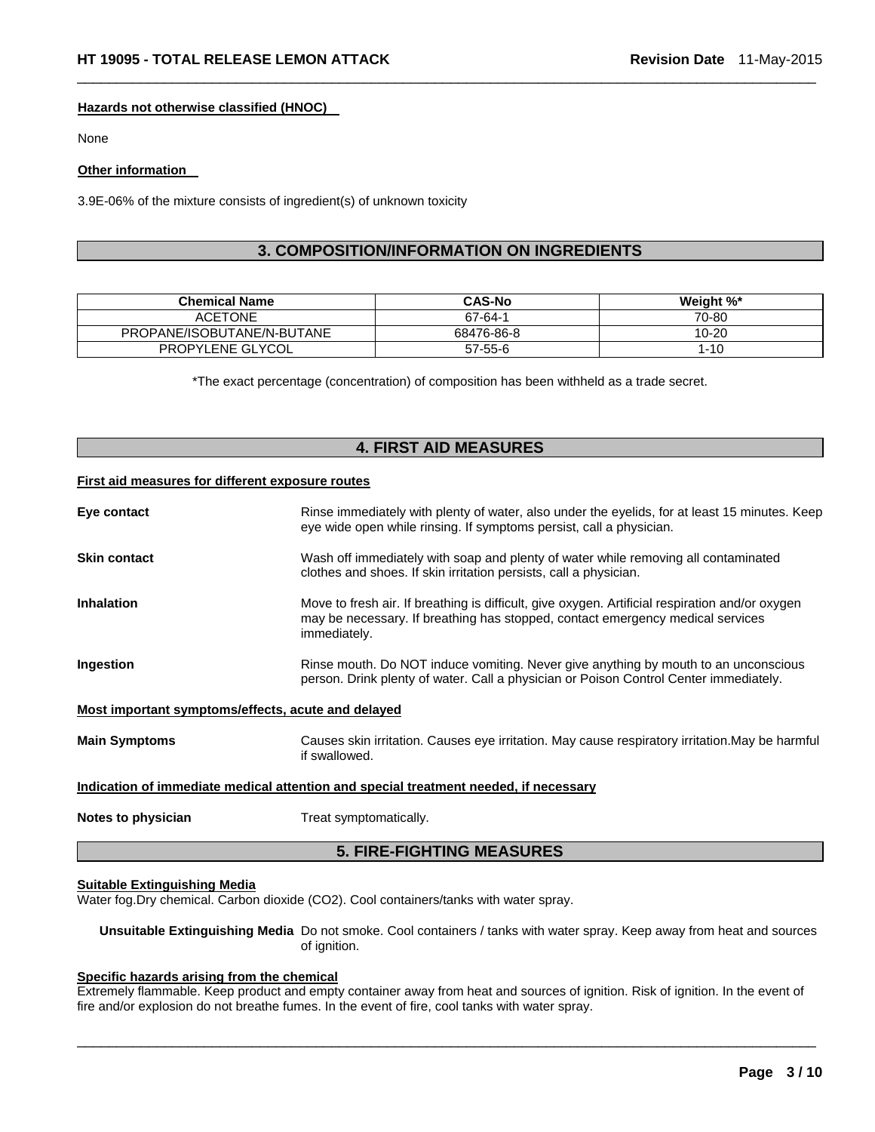#### **Hazards not otherwise classified (HNOC)**

None

#### **Other information**

3.9E-06% of the mixture consists of ingredient(s) of unknown toxicity

# **3. COMPOSITION/INFORMATION ON INGREDIENTS**

 $\Box$ 

| <b>Chemical Name</b>       | <b>CAS-No</b> | Weight %* |
|----------------------------|---------------|-----------|
| <b>ACETONE</b>             | 67-64-1       | 70-80     |
| PROPANE/ISOBUTANE/N-BUTANE | 68476-86-8    | 10-20     |
| PROPYLENE GLYCOL           | 57-55-6       | 1-10      |

\*The exact percentage (concentration) of composition has been withheld as a trade secret.

# **4. FIRST AID MEASURES**

#### **First aid measures for different exposure routes**

| Eye contact                                        | Rinse immediately with plenty of water, also under the eyelids, for at least 15 minutes. Keep<br>eye wide open while rinsing. If symptoms persist, call a physician.                              |
|----------------------------------------------------|---------------------------------------------------------------------------------------------------------------------------------------------------------------------------------------------------|
| <b>Skin contact</b>                                | Wash off immediately with soap and plenty of water while removing all contaminated<br>clothes and shoes. If skin irritation persists, call a physician.                                           |
| <b>Inhalation</b>                                  | Move to fresh air. If breathing is difficult, give oxygen. Artificial respiration and/or oxygen<br>may be necessary. If breathing has stopped, contact emergency medical services<br>immediately. |
| Ingestion                                          | Rinse mouth. Do NOT induce vomiting. Never give anything by mouth to an unconscious<br>person. Drink plenty of water. Call a physician or Poison Control Center immediately.                      |
| Most important symptoms/effects, acute and delayed |                                                                                                                                                                                                   |
| <b>Main Symptoms</b>                               | Causes skin irritation. Causes eye irritation. May cause respiratory irritation. May be harmful<br>if swallowed.                                                                                  |
|                                                    | Indication of immediate medical attention and special treatment needed, if necessary                                                                                                              |
| Notes to physician                                 | Treat symptomatically.                                                                                                                                                                            |

### **5. FIRE-FIGHTING MEASURES**

#### **Suitable Extinguishing Media**

Water fog.Dry chemical. Carbon dioxide (CO2). Cool containers/tanks with water spray.

**Unsuitable Extinguishing Media** Do not smoke. Cool containers / tanks with water spray. Keep away from heat and sources of ignition.

#### **Specific hazards arising from the chemical**

Extremely flammable. Keep product and empty container away from heat and sources of ignition. Risk of ignition. In the event of fire and/or explosion do not breathe fumes. In the event of fire, cool tanks with water spray.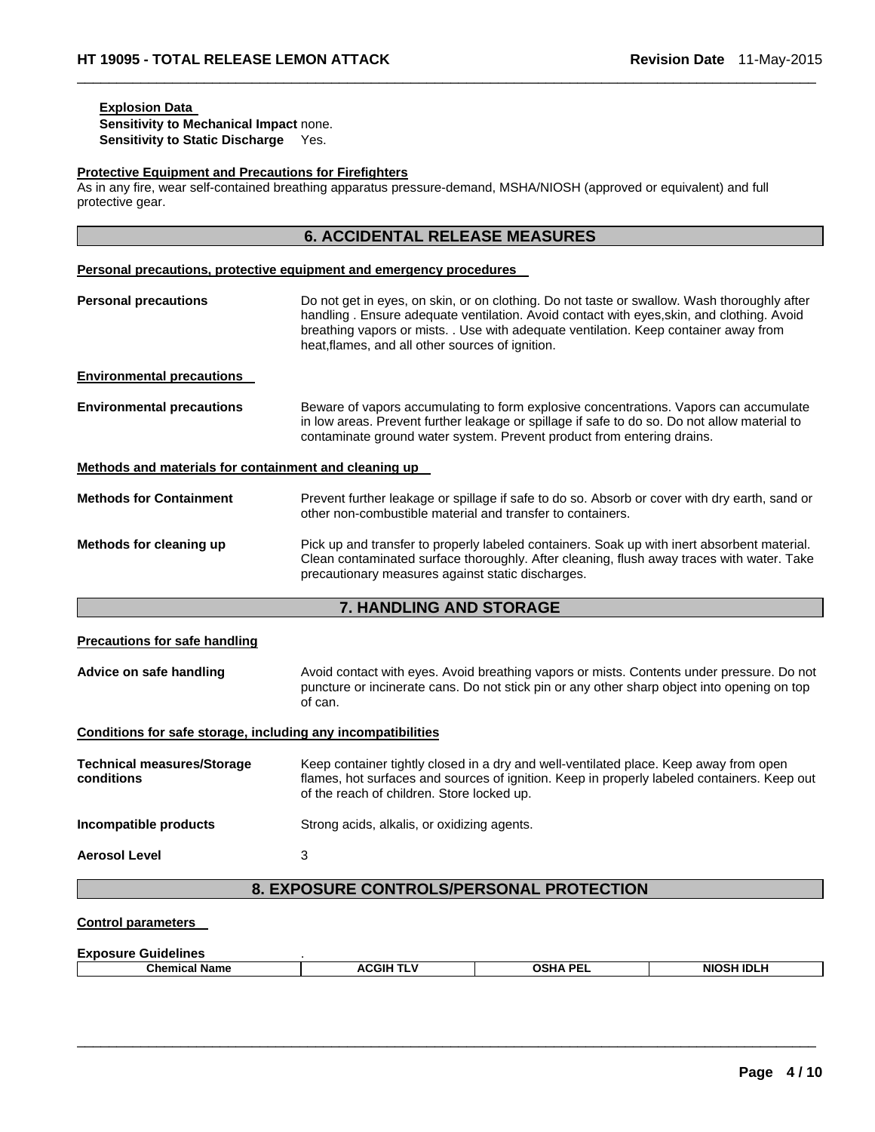# **Explosion Data**

**Sensitivity to Mechanical Impact** none. **Sensitivity to Static Discharge** Yes.

#### **Protective Equipment and Precautions for Firefighters**

As in any fire, wear self-contained breathing apparatus pressure-demand, MSHA/NIOSH (approved or equivalent) and full protective gear.

 $\Box$ 

|                                                              | <b>6. ACCIDENTAL RELEASE MEASURES</b>                                                                                                                                                                                                                                                                                                 |
|--------------------------------------------------------------|---------------------------------------------------------------------------------------------------------------------------------------------------------------------------------------------------------------------------------------------------------------------------------------------------------------------------------------|
|                                                              | Personal precautions, protective equipment and emergency procedures                                                                                                                                                                                                                                                                   |
| <b>Personal precautions</b>                                  | Do not get in eyes, on skin, or on clothing. Do not taste or swallow. Wash thoroughly after<br>handling . Ensure adequate ventilation. Avoid contact with eyes, skin, and clothing. Avoid<br>breathing vapors or mists. . Use with adequate ventilation. Keep container away from<br>heat, flames, and all other sources of ignition. |
| <b>Environmental precautions</b>                             |                                                                                                                                                                                                                                                                                                                                       |
| <b>Environmental precautions</b>                             | Beware of vapors accumulating to form explosive concentrations. Vapors can accumulate<br>in low areas. Prevent further leakage or spillage if safe to do so. Do not allow material to<br>contaminate ground water system. Prevent product from entering drains.                                                                       |
| Methods and materials for containment and cleaning up        |                                                                                                                                                                                                                                                                                                                                       |
| <b>Methods for Containment</b>                               | Prevent further leakage or spillage if safe to do so. Absorb or cover with dry earth, sand or<br>other non-combustible material and transfer to containers.                                                                                                                                                                           |
| Methods for cleaning up                                      | Pick up and transfer to properly labeled containers. Soak up with inert absorbent material.<br>Clean contaminated surface thoroughly. After cleaning, flush away traces with water. Take<br>precautionary measures against static discharges.                                                                                         |
|                                                              | 7. HANDLING AND STORAGE                                                                                                                                                                                                                                                                                                               |
| <b>Precautions for safe handling</b>                         |                                                                                                                                                                                                                                                                                                                                       |
| Advice on safe handling                                      | Avoid contact with eyes. Avoid breathing vapors or mists. Contents under pressure. Do not<br>puncture or incinerate cans. Do not stick pin or any other sharp object into opening on top<br>of can.                                                                                                                                   |
| Conditions for safe storage, including any incompatibilities |                                                                                                                                                                                                                                                                                                                                       |
| <b>Technical measures/Storage</b><br>conditions              | Keep container tightly closed in a dry and well-ventilated place. Keep away from open<br>flames, hot surfaces and sources of ignition. Keep in properly labeled containers. Keep out<br>of the reach of children. Store locked up.                                                                                                    |
| Incompatible products                                        | Strong acids, alkalis, or oxidizing agents.                                                                                                                                                                                                                                                                                           |
| <b>Aerosol Level</b>                                         | 3                                                                                                                                                                                                                                                                                                                                     |
|                                                              | 8. EXPOSURE CONTROLS/PERSONAL PROTECTION                                                                                                                                                                                                                                                                                              |
| <b>Control parameters</b>                                    |                                                                                                                                                                                                                                                                                                                                       |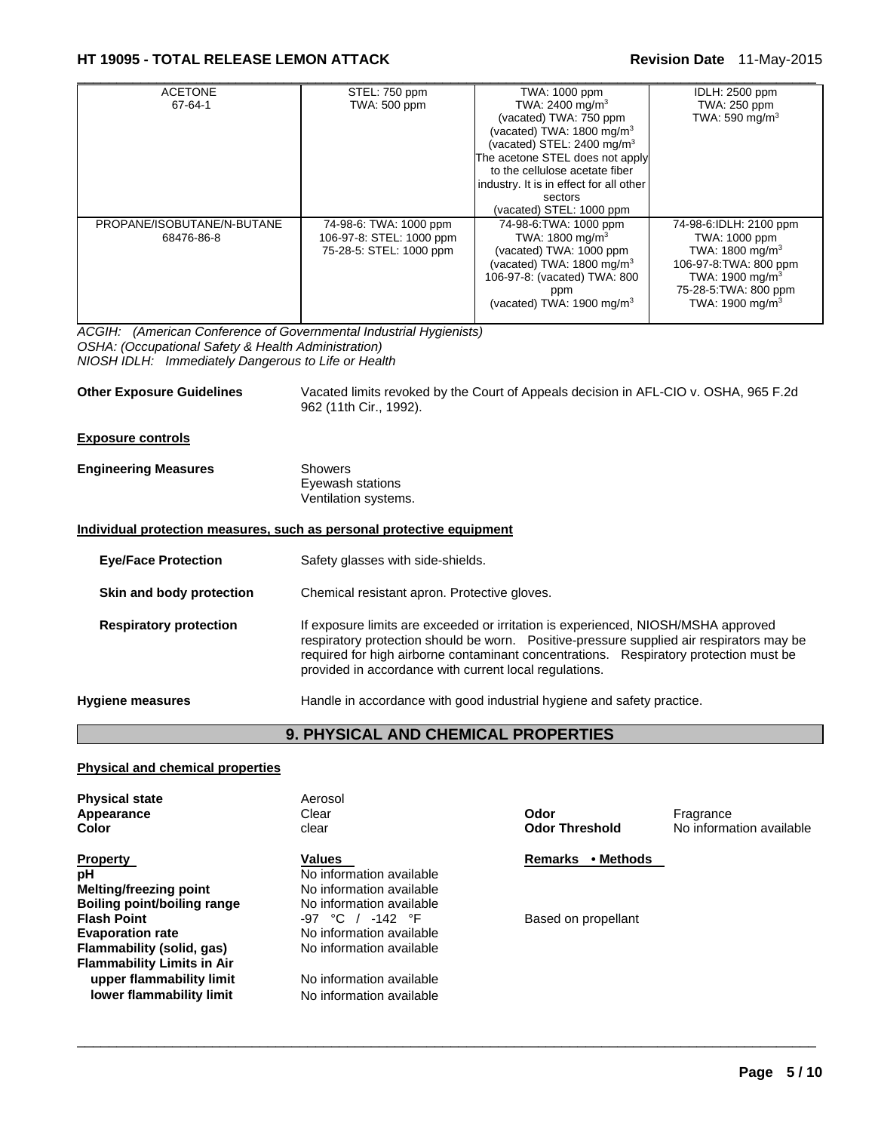# **HT 19095 - TOTAL RELEASE LEMON ATTACK Revision Date** 11-May-2015

| <b>ACETONE</b>             | STEL: 750 ppm            | TWA: 1000 ppm                           | IDLH: 2500 ppm              |
|----------------------------|--------------------------|-----------------------------------------|-----------------------------|
| 67-64-1                    | TWA: 500 ppm             | TWA: 2400 mg/m <sup>3</sup>             | TWA: 250 ppm                |
|                            |                          | (vacated) TWA: 750 ppm                  | TWA: 590 mg/m <sup>3</sup>  |
|                            |                          | (vacated) TWA: 1800 mg/m <sup>3</sup>   |                             |
|                            |                          | (vacated) STEL: 2400 mg/m <sup>3</sup>  |                             |
|                            |                          | The acetone STEL does not apply         |                             |
|                            |                          | to the cellulose acetate fiber          |                             |
|                            |                          | industry. It is in effect for all other |                             |
|                            |                          | sectors                                 |                             |
|                            |                          | (vacated) STEL: 1000 ppm                |                             |
| PROPANE/ISOBUTANE/N-BUTANE | 74-98-6: TWA: 1000 ppm   | 74-98-6: TWA: 1000 ppm                  | 74-98-6:IDLH: 2100 ppm      |
| 68476-86-8                 | 106-97-8: STEL: 1000 ppm | TWA: 1800 mg/m <sup>3</sup>             | TWA: 1000 ppm               |
|                            | 75-28-5: STEL: 1000 ppm  | (vacated) TWA: 1000 ppm                 | TWA: $1800 \text{ mg/m}^3$  |
|                            |                          | (vacated) TWA: $1800 \text{ mg/m}^3$    | 106-97-8: TWA: 800 ppm      |
|                            |                          | 106-97-8: (vacated) TWA: 800            | TWA: 1900 mg/m <sup>3</sup> |
|                            |                          | ppm                                     | 75-28-5: TWA: 800 ppm       |
|                            |                          | (vacated) TWA: $1900 \text{ mg/m}^3$    | TWA: $1900 \text{ mg/m}^3$  |
|                            |                          |                                         |                             |

*ACGIH: (American Conference of Governmental Industrial Hygienists) OSHA: (Occupational Safety & Health Administration) NIOSH IDLH: Immediately Dangerous to Life or Health* 

**Other Exposure Guidelines** Vacated limits revoked by the Court of Appeals decision in AFL-CIO v. OSHA, 965 F.2d 962 (11th Cir., 1992).

#### **Exposure controls**

| <b>Engineering Measures</b> | Showers              |  |
|-----------------------------|----------------------|--|
|                             | Eyewash stations     |  |
|                             | Ventilation systems. |  |

#### **Individual protection measures, such as personal protective equipment**

| Safety glasses with side-shields.                                                                                                                                                                                                                                                                                                 |
|-----------------------------------------------------------------------------------------------------------------------------------------------------------------------------------------------------------------------------------------------------------------------------------------------------------------------------------|
| Chemical resistant apron. Protective gloves.                                                                                                                                                                                                                                                                                      |
| If exposure limits are exceeded or irritation is experienced, NIOSH/MSHA approved<br>respiratory protection should be worn.  Positive-pressure supplied air respirators may be<br>required for high airborne contaminant concentrations. Respiratory protection must be<br>provided in accordance with current local regulations. |
| Handle in accordance with good industrial hygiene and safety practice.                                                                                                                                                                                                                                                            |
|                                                                                                                                                                                                                                                                                                                                   |

# **9. PHYSICAL AND CHEMICAL PROPERTIES**

 $\Box$ 

#### **Physical and chemical properties**

| <b>Physical state</b><br>Appearance<br>Color | Aerosol<br>Clear<br>clear | Odor<br><b>Odor Threshold</b> | Fragrance<br>No information available |
|----------------------------------------------|---------------------------|-------------------------------|---------------------------------------|
| <b>Property</b>                              | <b>Values</b>             | • Methods<br><b>Remarks</b>   |                                       |
| pH                                           | No information available  |                               |                                       |
| <b>Melting/freezing point</b>                | No information available  |                               |                                       |
| Boiling point/boiling range                  | No information available  |                               |                                       |
| <b>Flash Point</b>                           | $-97$ °C / $-142$ °F      | Based on propellant           |                                       |
| <b>Evaporation rate</b>                      | No information available  |                               |                                       |
| Flammability (solid, gas)                    | No information available  |                               |                                       |
| <b>Flammability Limits in Air</b>            |                           |                               |                                       |
| upper flammability limit                     | No information available  |                               |                                       |
| lower flammability limit                     | No information available  |                               |                                       |
|                                              |                           |                               |                                       |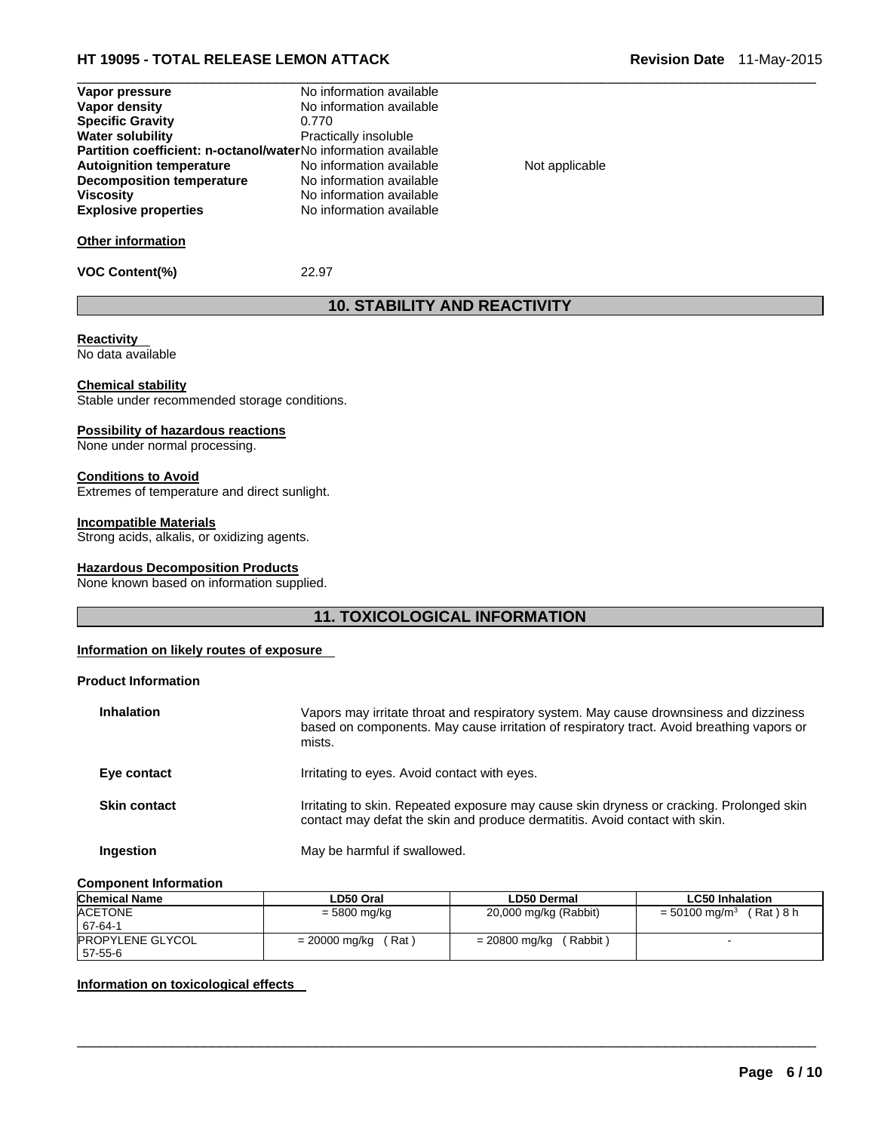# **HT 19095 - TOTAL RELEASE LEMON ATTACK Revision Date** 11-May-2015

| Vapor pressure                                                        | No information available |                |  |
|-----------------------------------------------------------------------|--------------------------|----------------|--|
| Vapor density                                                         | No information available |                |  |
| <b>Specific Gravity</b>                                               | 0.770                    |                |  |
| <b>Water solubility</b>                                               | Practically insoluble    |                |  |
| <b>Partition coefficient: n-octanol/waterNo information available</b> |                          |                |  |
| <b>Autoignition temperature</b>                                       | No information available | Not applicable |  |
| Decomposition temperature                                             | No information available |                |  |
| <b>Viscosity</b>                                                      | No information available |                |  |
| <b>Explosive properties</b>                                           | No information available |                |  |
| <b>Other information</b>                                              |                          |                |  |
| <b>VOC Content(%)</b>                                                 | 22.97                    |                |  |

# **10. STABILITY AND REACTIVITY**

# **Reactivity**

No data available

#### **Chemical stability**

Stable under recommended storage conditions.

#### **Possibility of hazardous reactions**

None under normal processing.

#### **Conditions to Avoid**

Extremes of temperature and direct sunlight.

#### **Incompatible Materials**

Strong acids, alkalis, or oxidizing agents.

#### **Hazardous Decomposition Products**

None known based on information supplied.

### **11. TOXICOLOGICAL INFORMATION**

#### **Information on likely routes of exposure**

#### **Product Information**

| <b>Inhalation</b>   | Vapors may irritate throat and respiratory system. May cause drownsiness and dizziness<br>based on components. May cause irritation of respiratory tract. Avoid breathing vapors or<br>mists. |
|---------------------|-----------------------------------------------------------------------------------------------------------------------------------------------------------------------------------------------|
| Eye contact         | Irritating to eyes. Avoid contact with eyes.                                                                                                                                                  |
| <b>Skin contact</b> | Irritating to skin. Repeated exposure may cause skin dryness or cracking. Prolonged skin<br>contact may defat the skin and produce dermatitis. Avoid contact with skin.                       |
| Ingestion           | May be harmful if swallowed.                                                                                                                                                                  |

#### **Component Information**

| <b>Chemical Name</b>               | LD50 Oral               | <b>LD50 Dermal</b>        | <b>LC50 Inhalation</b>                  |
|------------------------------------|-------------------------|---------------------------|-----------------------------------------|
| <b>ACETONE</b><br>67-64-1          | = 5800 mg/kg            | 20,000 mg/kg (Rabbit)     | (Rat)8 h<br>$= 50100$ mg/m <sup>3</sup> |
| <b>PROPYLENE GLYCOL</b><br>57-55-6 | (Rat )<br>= 20000 mg/kg | (Rabbit)<br>= 20800 mg/kg |                                         |

 $\Box$ 

#### **Information on toxicological effects**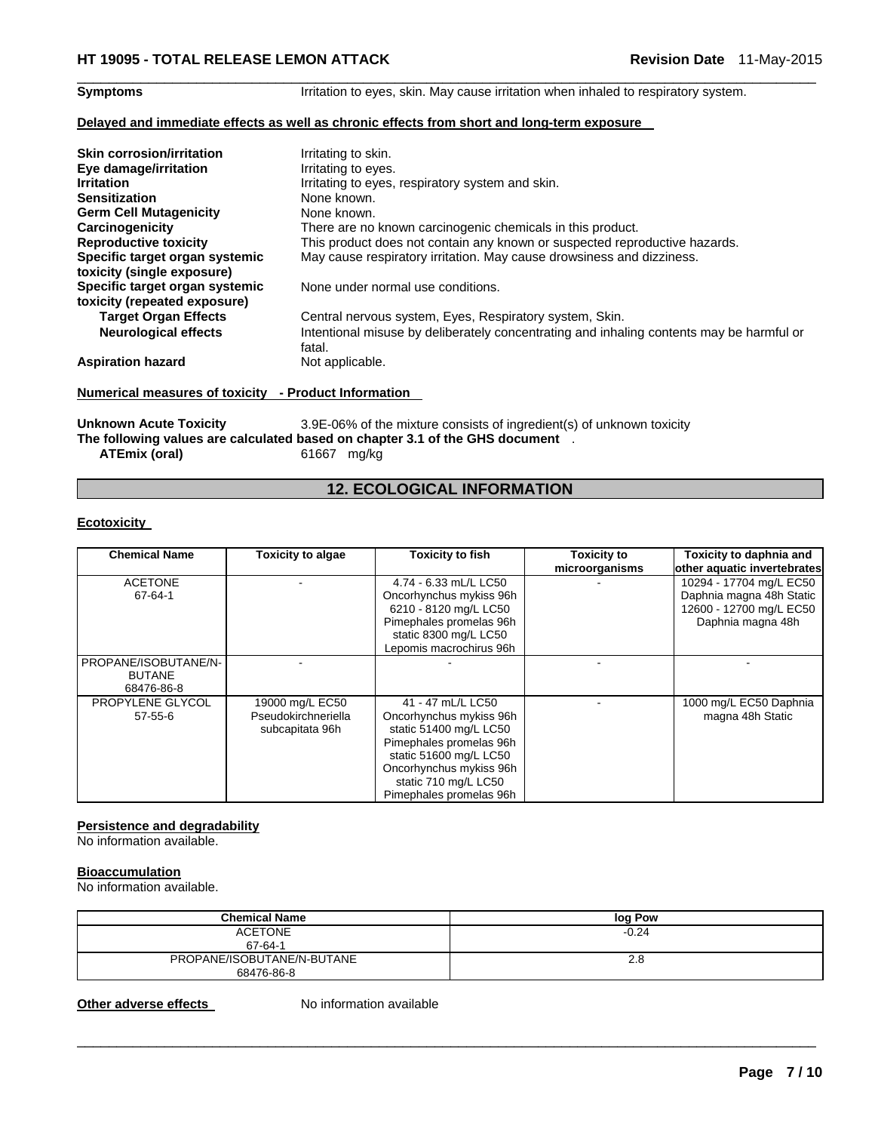**Symptoms** Irritation to eyes, skin. May cause irritation when inhaled to respiratory system.

#### **Delayed and immediate effects as well as chronic effects from short and long-term exposure**

| <b>Skin corrosion/irritation</b> | Irritating to skin.                                                                                |
|----------------------------------|----------------------------------------------------------------------------------------------------|
| Eye damage/irritation            | Irritating to eyes.                                                                                |
| <b>Irritation</b>                | Irritating to eyes, respiratory system and skin.                                                   |
| <b>Sensitization</b>             | None known.                                                                                        |
| <b>Germ Cell Mutagenicity</b>    | None known.                                                                                        |
| Carcinogenicity                  | There are no known carcinogenic chemicals in this product.                                         |
| <b>Reproductive toxicity</b>     | This product does not contain any known or suspected reproductive hazards.                         |
| Specific target organ systemic   | May cause respiratory irritation. May cause drowsiness and dizziness.                              |
| toxicity (single exposure)       |                                                                                                    |
| Specific target organ systemic   | None under normal use conditions.                                                                  |
| toxicity (repeated exposure)     |                                                                                                    |
| <b>Target Organ Effects</b>      | Central nervous system, Eyes, Respiratory system, Skin.                                            |
| <b>Neurological effects</b>      | Intentional misuse by deliberately concentrating and inhaling contents may be harmful or<br>fatal. |
| <b>Aspiration hazard</b>         | Not applicable.                                                                                    |

 $\Box$ 

### **Numerical measures of toxicity - Product Information**

Unknown Acute Toxicity 3.9E-06% of the mixture consists of ingredient(s) of unknown toxicity **The following values are calculated based on chapter 3.1 of the GHS document** . **ATEmix (oral)** 61667 mg/kg

# **12. ECOLOGICAL INFORMATION**

#### **Ecotoxicity**

| <b>Chemical Name</b><br><b>Toxicity to algae</b>    |                                                           | <b>Toxicity to fish</b>                                                                                                                                                                                   | <b>Toxicity to</b> | Toxicity to daphnia and                                                                             |
|-----------------------------------------------------|-----------------------------------------------------------|-----------------------------------------------------------------------------------------------------------------------------------------------------------------------------------------------------------|--------------------|-----------------------------------------------------------------------------------------------------|
|                                                     |                                                           |                                                                                                                                                                                                           | microorganisms     | other aquatic invertebrates                                                                         |
| <b>ACETONE</b><br>67-64-1                           |                                                           | 4.74 - 6.33 mL/L LC50<br>Oncorhynchus mykiss 96h<br>6210 - 8120 mg/L LC50<br>Pimephales promelas 96h<br>static 8300 mg/L LC50<br>Lepomis macrochirus 96h                                                  |                    | 10294 - 17704 mg/L EC50<br>Daphnia magna 48h Static<br>12600 - 12700 mg/L EC50<br>Daphnia magna 48h |
| PROPANE/ISOBUTANE/N-<br><b>BUTANE</b><br>68476-86-8 |                                                           |                                                                                                                                                                                                           |                    |                                                                                                     |
| PROPYLENE GLYCOL<br>$57 - 55 - 6$                   | 19000 mg/L EC50<br>Pseudokirchneriella<br>subcapitata 96h | 41 - 47 mL/L LC50<br>Oncorhynchus mykiss 96h<br>static 51400 mg/L LC50<br>Pimephales promelas 96h<br>static 51600 mg/L LC50<br>Oncorhynchus mykiss 96h<br>static 710 mg/L LC50<br>Pimephales promelas 96h |                    | 1000 mg/L EC50 Daphnia<br>magna 48h Static                                                          |

#### **Persistence and degradability**

No information available.

### **Bioaccumulation**

No information available.

| <b>Chemical Name</b>                     | log Pow |
|------------------------------------------|---------|
| <b>ACETONE</b><br>67-64-1                | $-0.24$ |
| PROPANE/ISOBUTANE/N-BUTANE<br>68476-86-8 | 2.8     |

 $\Box$ 

**Other adverse effects** No information available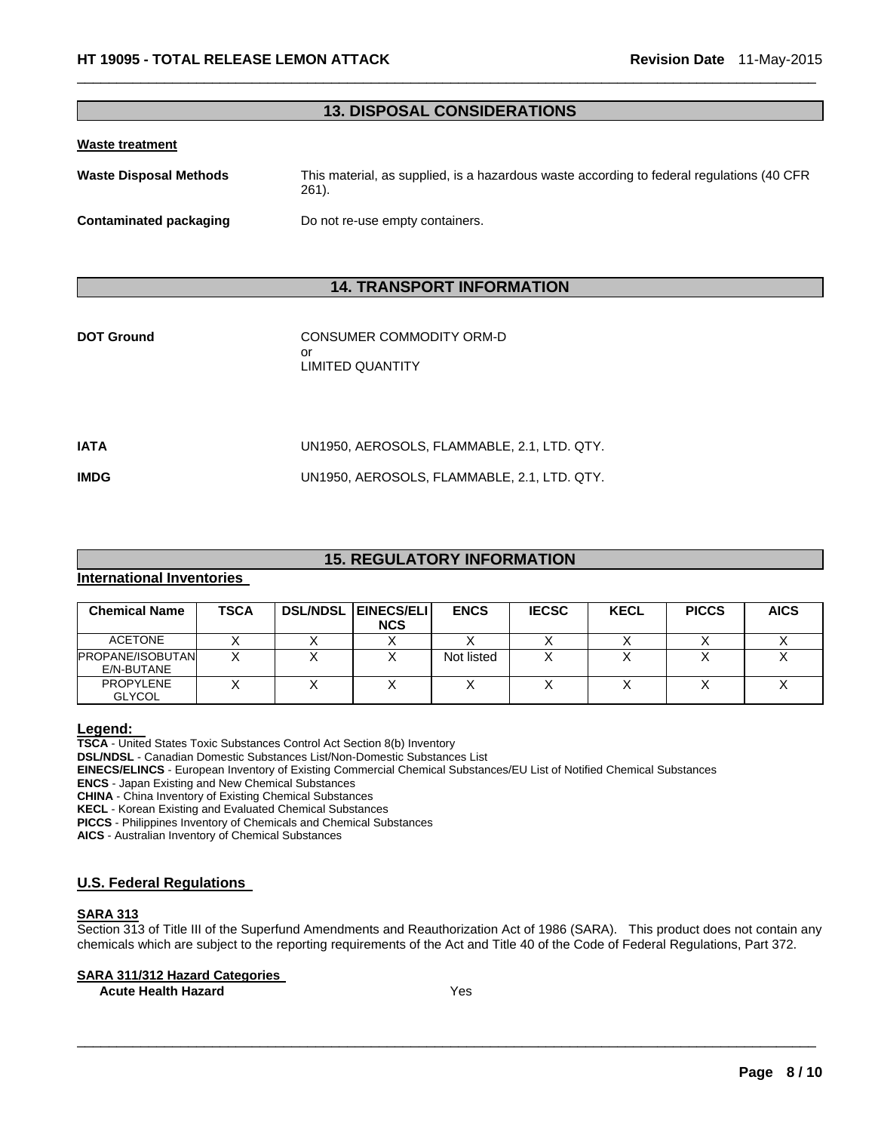### **13. DISPOSAL CONSIDERATIONS**

 $\Box$ 

#### **Waste treatment**

| Waste Disposal Methods | This material, as supplied, is a hazardous waste according to federal regulations (40 CFR)<br>261). |
|------------------------|-----------------------------------------------------------------------------------------------------|
| Contaminated packaging | Do not re-use empty containers.                                                                     |

# **14. TRANSPORT INFORMATION**

| <b>DOT Ground</b> | CONSUMER COMMODITY ORM-D<br>or<br>LIMITED QUANTITY |
|-------------------|----------------------------------------------------|
| IATA              | UN1950, AEROSOLS, FLAMMABLE, 2.1, LTD. QTY.        |
| IMDG              | UN1950, AEROSOLS, FLAMMABLE, 2.1, LTD. QTY.        |
|                   |                                                    |

# **15. REGULATORY INFORMATION**

#### **International Inventories**

| <b>Chemical Name</b>              | TSCA | <b>DSL/NDSL EINECS/ELI</b><br><b>NCS</b> | <b>ENCS</b> | <b>IECSC</b> | <b>KECL</b> | <b>PICCS</b> | <b>AICS</b> |
|-----------------------------------|------|------------------------------------------|-------------|--------------|-------------|--------------|-------------|
| <b>ACETONE</b>                    |      |                                          |             |              |             |              |             |
| PROPANE/ISOBUTAN<br>E/N-BUTANE    |      |                                          | Not listed  |              |             |              |             |
| <b>PROPYLENE</b><br><b>GLYCOL</b> |      |                                          |             |              |             |              |             |

**Legend: TSCA** - United States Toxic Substances Control Act Section 8(b) Inventory

**DSL/NDSL** - Canadian Domestic Substances List/Non-Domestic Substances List

**EINECS/ELINCS** - European Inventory of Existing Commercial Chemical Substances/EU List of Notified Chemical Substances

**ENCS** - Japan Existing and New Chemical Substances

**CHINA** - China Inventory of Existing Chemical Substances

**KECL** - Korean Existing and Evaluated Chemical Substances

**PICCS** - Philippines Inventory of Chemicals and Chemical Substances

**AICS** - Australian Inventory of Chemical Substances

#### **U.S. Federal Regulations**

# **SARA 313**

Section 313 of Title III of the Superfund Amendments and Reauthorization Act of 1986 (SARA). This product does not contain any chemicals which are subject to the reporting requirements of the Act and Title 40 of the Code of Federal Regulations, Part 372.

 $\Box$ 

#### **SARA 311/312 Hazard Categories**

**Acute Health Hazard**  Yes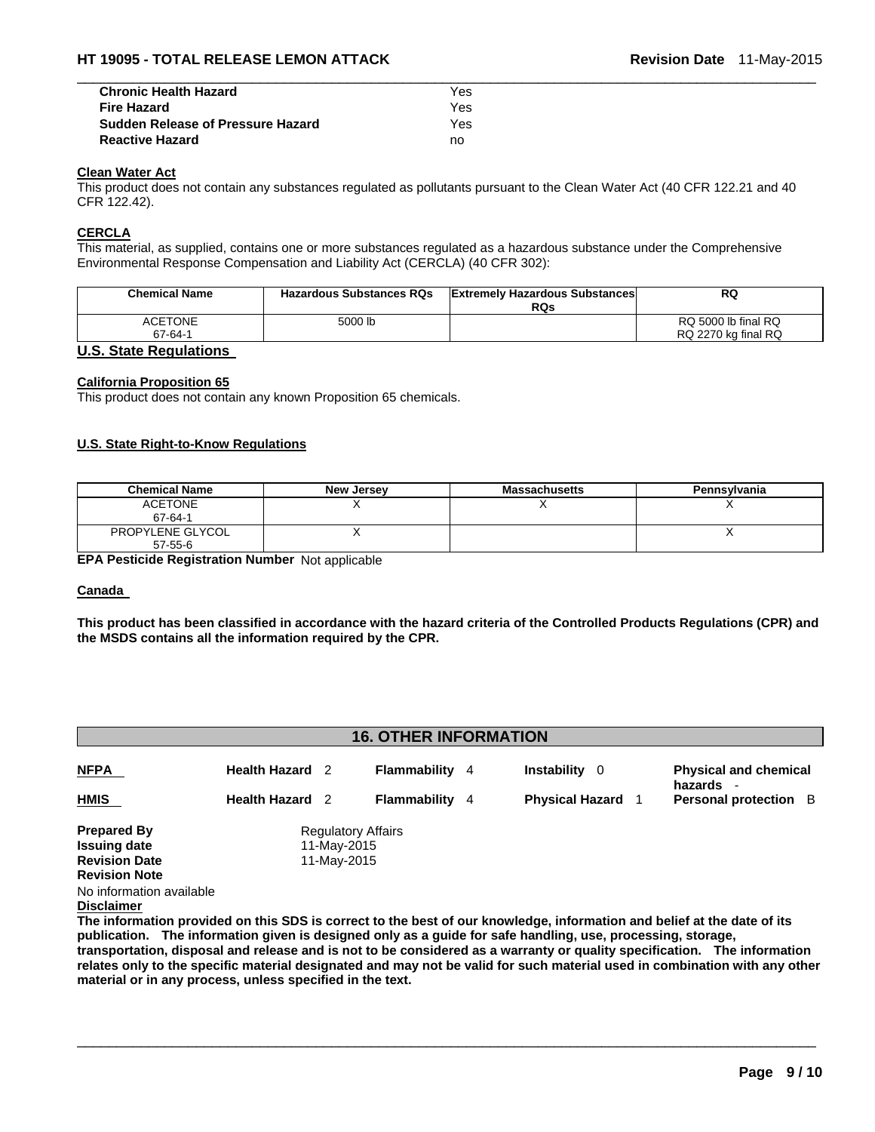| <b>Chronic Health Hazard</b>             | Yes |  |
|------------------------------------------|-----|--|
| <b>Fire Hazard</b>                       | Yes |  |
| <b>Sudden Release of Pressure Hazard</b> | Yes |  |
| <b>Reactive Hazard</b>                   | no  |  |

#### **Clean Water Act**

This product does not contain any substances regulated as pollutants pursuant to the Clean Water Act (40 CFR 122.21 and 40 CFR 122.42).

#### **CERCLA**

This material, as supplied, contains one or more substances regulated as a hazardous substance under the Comprehensive Environmental Response Compensation and Liability Act (CERCLA) (40 CFR 302):

| <b>RQs</b> |                     |
|------------|---------------------|
|            | RQ 5000 lb final RQ |
|            | RQ 2270 kg final RQ |
|            |                     |

#### **U.S. State Regulations**

#### **California Proposition 65**

This product does not contain any known Proposition 65 chemicals.

#### **U.S. State Right-to-Know Regulations**

| <b>Chemical Name</b>              | New Jersey | <b>Massachusetts</b> | Pennsylvania |
|-----------------------------------|------------|----------------------|--------------|
| <b>ACETONE</b><br>67-64-1         |            |                      |              |
| PROPYLENE GLYCOL<br>$57 - 55 - 6$ |            |                      |              |

**EPA Pesticide Registration Number** Not applicable

#### **Canada**

**This product has been classified in accordance with the hazard criteria of the Controlled Products Regulations (CPR) and the MSDS contains all the information required by the CPR.** 

### **16. OTHER INFORMATION**

| <b>NFPA</b>          | <b>Health Hazard</b> 2 | Flammability<br>-4        | <b>Instability</b><br>-0 | <b>Physical and chemical</b>            |
|----------------------|------------------------|---------------------------|--------------------------|-----------------------------------------|
| <b>HMIS</b>          | Health Hazard 2        | Flammability<br>4         | <b>Physical Hazard</b>   | hazards<br><b>Personal protection</b> B |
| <b>Prepared By</b>   |                        | <b>Regulatory Affairs</b> |                          |                                         |
| <b>Issuing date</b>  | 11-May-2015            |                           |                          |                                         |
| <b>Revision Date</b> | 11-May-2015            |                           |                          |                                         |
| <b>Revision Note</b> |                        |                           |                          |                                         |
| $\blacksquare$       |                        |                           |                          |                                         |

No information available

**Disclaimer**

**The information provided on this SDS is correct to the best of our knowledge, information and belief at the date of its publication. The information given is designed only as a guide for safe handling, use, processing, storage, transportation, disposal and release and is not to be considered as a warranty or quality specification. The information relates only to the specific material designated and may not be valid for such material used in combination with any other material or in any process, unless specified in the text.**